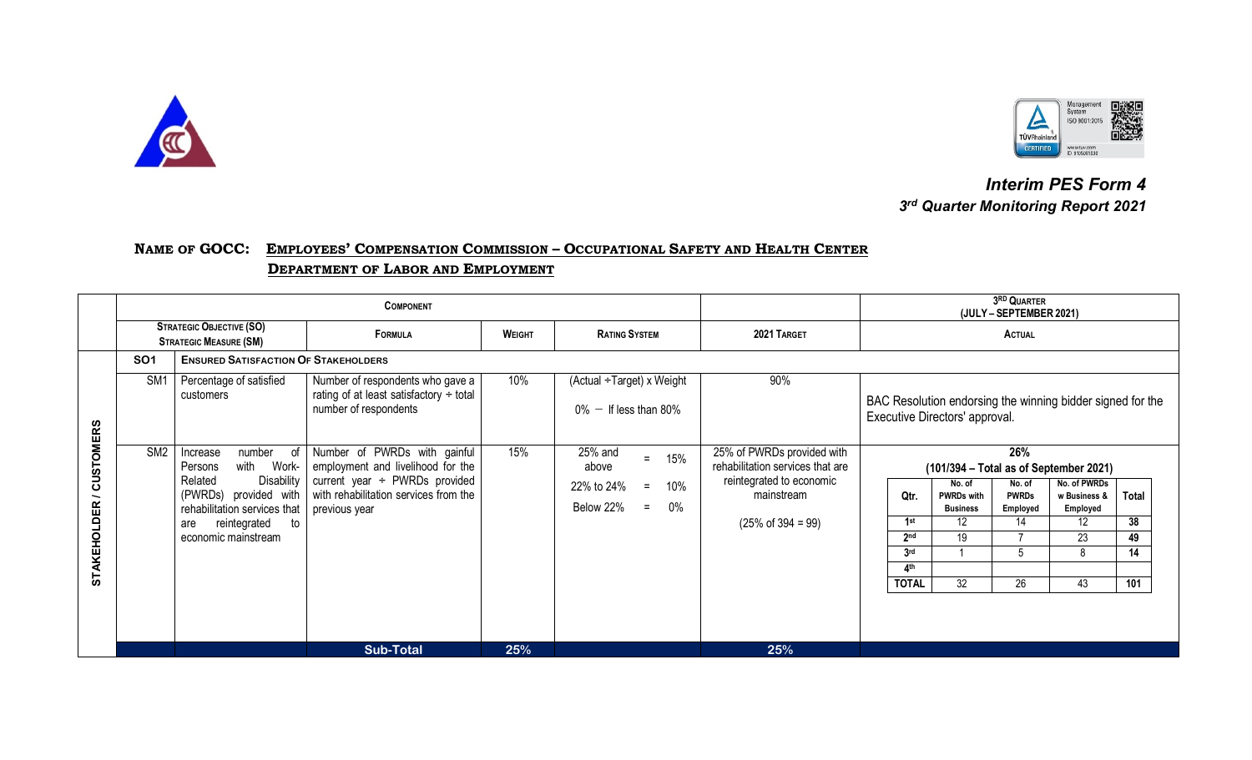



 *Interim PES Form 4 3rd Quarter Monitoring Report 2021*

## **NAME OF GOCC: EMPLOYEES' COMPENSATION COMMISSION – OCCUPATIONAL SAFETY AND HEALTH CENTER DEPARTMENT OF LABOR AND EMPLOYMENT**

|                                                                    | <b>COMPONENT</b>                                                 |                                                                                                                                                                                                   |                                                                                                                                                                   |               |                                                                                         |                                                                                                                                           |                                                                                                                                                          | 3RD QUARTER<br>(JULY - SEPTEMBER 2021)                                                                 |                                                                              |                                |
|--------------------------------------------------------------------|------------------------------------------------------------------|---------------------------------------------------------------------------------------------------------------------------------------------------------------------------------------------------|-------------------------------------------------------------------------------------------------------------------------------------------------------------------|---------------|-----------------------------------------------------------------------------------------|-------------------------------------------------------------------------------------------------------------------------------------------|----------------------------------------------------------------------------------------------------------------------------------------------------------|--------------------------------------------------------------------------------------------------------|------------------------------------------------------------------------------|--------------------------------|
|                                                                    | <b>STRATEGIC OBJECTIVE (SO)</b><br><b>STRATEGIC MEASURE (SM)</b> |                                                                                                                                                                                                   | <b>FORMULA</b>                                                                                                                                                    | <b>WEIGHT</b> | <b>RATING SYSTEM</b>                                                                    | 2021 TARGET                                                                                                                               | <b>ACTUAL</b>                                                                                                                                            |                                                                                                        |                                                                              |                                |
|                                                                    | <b>SO1</b>                                                       | <b>ENSURED SATISFACTION OF STAKEHOLDERS</b>                                                                                                                                                       |                                                                                                                                                                   |               |                                                                                         |                                                                                                                                           |                                                                                                                                                          |                                                                                                        |                                                                              |                                |
|                                                                    | SM <sub>1</sub>                                                  | Percentage of satisfied<br>customers                                                                                                                                                              | Number of respondents who gave a<br>rating of at least satisfactory $\div$ total<br>number of respondents                                                         | 10%           | (Actual ÷Target) x Weight<br>$0\%$ - If less than 80%                                   | 90%                                                                                                                                       | BAC Resolution endorsing the winning bidder signed for the<br>Executive Directors' approval.                                                             |                                                                                                        |                                                                              |                                |
| <b>CUSTOMERS</b><br>$\overline{\phantom{0}}$<br><b>STAKEHOLDER</b> | SM <sub>2</sub>                                                  | of<br>number<br>Increase<br>with<br>Work-<br>Persons<br><b>Disability</b><br>Related<br>(PWRDs) provided with<br>rehabilitation services that<br>reintegrated<br>to<br>are<br>economic mainstream | Number of PWRDs with gainful<br>employment and livelihood for the<br>current year $\div$ PWRDs provided<br>with rehabilitation services from the<br>previous year | 15%           | 25% and<br>15%<br>$=$<br>above<br>10%<br>22% to 24%<br>$=$<br>Below 22%<br>$0\%$<br>$=$ | 25% of PWRDs provided with<br>rehabilitation services that are<br>reintegrated to economic<br>mainstream<br>$(25\% \text{ of } 394 = 99)$ | No. of<br>Qtr.<br><b>PWRDs with</b><br><b>Business</b><br>1st<br>12<br>2 <sub>nd</sub><br>19<br>3 <sub>rd</sub><br>A <sub>th</sub><br>32<br><b>TOTAL</b> | 26%<br>$(101/394 - Total as of September 2021)$<br>No. of<br><b>PWRDs</b><br>Employed<br>14<br>5<br>26 | No. of PWRDs<br>w Business &<br>Employed<br>12<br>$\overline{23}$<br>8<br>43 | Total<br>38<br>49<br>14<br>101 |
|                                                                    |                                                                  |                                                                                                                                                                                                   | <b>Sub-Total</b>                                                                                                                                                  | 25%           |                                                                                         | 25%                                                                                                                                       |                                                                                                                                                          |                                                                                                        |                                                                              |                                |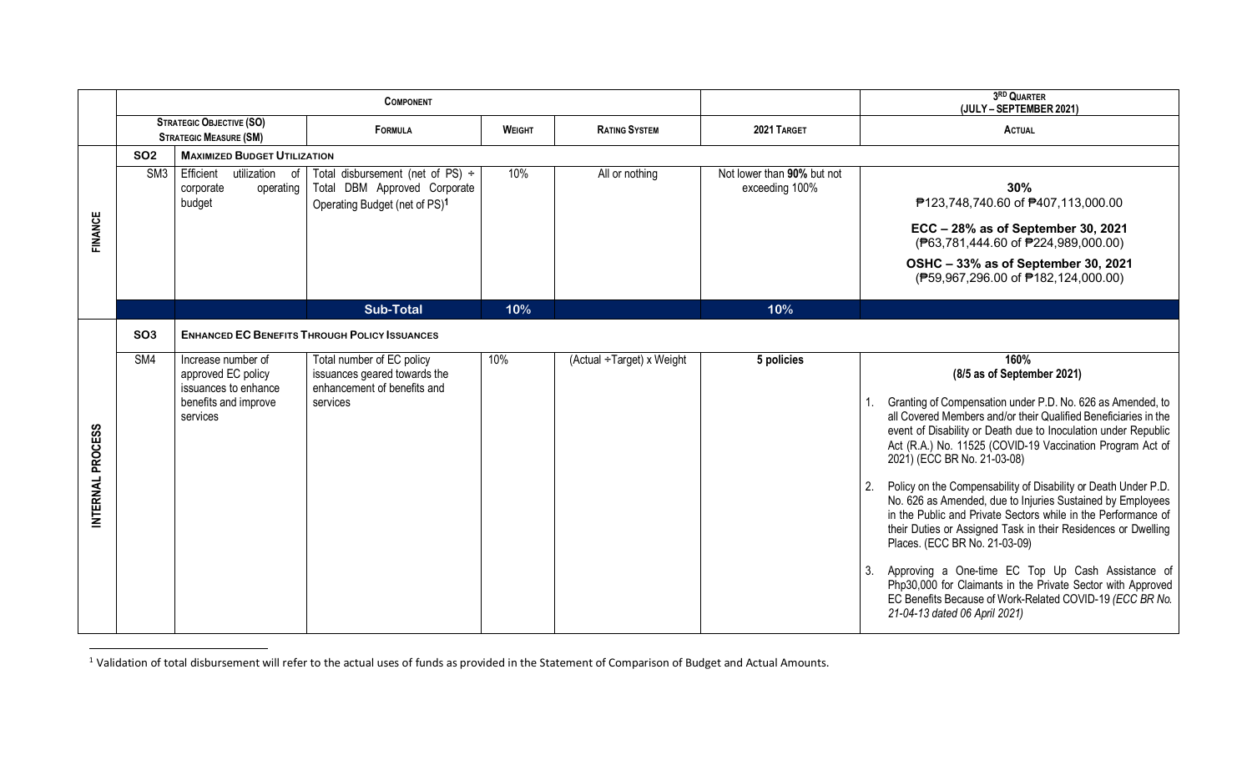|                  |                 |                                                                  | <b>COMPONENT</b>                                                                                                   |               |                           |                                              | 3RD QUARTER<br>(JULY - SEPTEMBER 2021)                                                                                                                                                                                                                                                          |
|------------------|-----------------|------------------------------------------------------------------|--------------------------------------------------------------------------------------------------------------------|---------------|---------------------------|----------------------------------------------|-------------------------------------------------------------------------------------------------------------------------------------------------------------------------------------------------------------------------------------------------------------------------------------------------|
|                  |                 | <b>STRATEGIC OBJECTIVE (SO)</b><br><b>STRATEGIC MEASURE (SM)</b> | FORMULA                                                                                                            | <b>WEIGHT</b> | <b>RATING SYSTEM</b>      | 2021 TARGET                                  | ACTUAL                                                                                                                                                                                                                                                                                          |
|                  | <b>SO2</b>      | <b>MAXIMIZED BUDGET UTILIZATION</b>                              |                                                                                                                    |               |                           |                                              |                                                                                                                                                                                                                                                                                                 |
|                  | SM <sub>3</sub> | Efficient<br>utilization of<br>corporate<br>operating<br>budget  | Total disbursement (net of PS) $\div$<br>Total DBM Approved Corporate<br>Operating Budget (net of PS) <sup>1</sup> | 10%           | All or nothing            | Not lower than 90% but not<br>exceeding 100% | 30%<br>₱123,748,740.60 of ₱407,113,000.00                                                                                                                                                                                                                                                       |
| <b>FINANCE</b>   |                 |                                                                  |                                                                                                                    |               |                           |                                              | ECC - 28% as of September 30, 2021<br>(₱63,781,444.60 of ₱224,989,000.00)                                                                                                                                                                                                                       |
|                  |                 |                                                                  |                                                                                                                    |               |                           |                                              | OSHC - 33% as of September 30, 2021<br>(P59,967,296.00 of P182,124,000.00)                                                                                                                                                                                                                      |
|                  |                 |                                                                  | <b>Sub-Total</b>                                                                                                   | 10%           |                           | 10%                                          |                                                                                                                                                                                                                                                                                                 |
|                  | SO <sub>3</sub> |                                                                  | <b>ENHANCED EC BENEFITS THROUGH POLICY ISSUANCES</b>                                                               |               |                           |                                              |                                                                                                                                                                                                                                                                                                 |
|                  | SM4             | Increase number of<br>approved EC policy<br>issuances to enhance | Total number of EC policy<br>issuances geared towards the<br>enhancement of benefits and                           | 10%           | (Actual ÷Target) x Weight | 5 policies                                   | 160%<br>(8/5 as of September 2021)                                                                                                                                                                                                                                                              |
|                  |                 | benefits and improve<br>services                                 | services                                                                                                           |               |                           |                                              | Granting of Compensation under P.D. No. 626 as Amended, to<br>all Covered Members and/or their Qualified Beneficiaries in the<br>event of Disability or Death due to Inoculation under Republic<br>Act (R.A.) No. 11525 (COVID-19 Vaccination Program Act of<br>2021) (ECC BR No. 21-03-08)     |
| INTERNAL PROCESS |                 |                                                                  |                                                                                                                    |               |                           |                                              | Policy on the Compensability of Disability or Death Under P.D.<br>No. 626 as Amended, due to Injuries Sustained by Employees<br>in the Public and Private Sectors while in the Performance of<br>their Duties or Assigned Task in their Residences or Dwelling<br>Places. (ECC BR No. 21-03-09) |
|                  |                 |                                                                  |                                                                                                                    |               |                           |                                              | Approving a One-time EC Top Up Cash Assistance of<br>-3.<br>Php30,000 for Claimants in the Private Sector with Approved<br>EC Benefits Because of Work-Related COVID-19 (ECC BR No.<br>21-04-13 dated 06 April 2021)                                                                            |

 $1$  Validation of total disbursement will refer to the actual uses of funds as provided in the Statement of Comparison of Budget and Actual Amounts.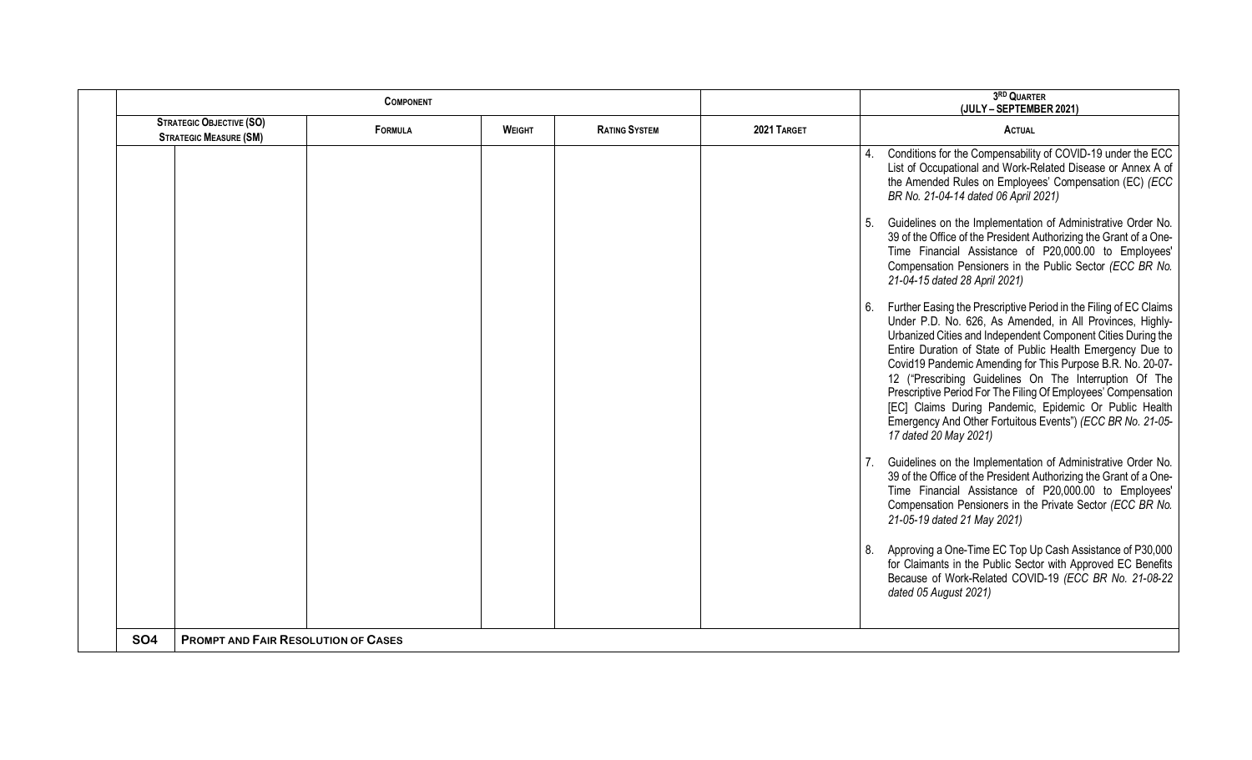|            |                                                                  | <b>COMPONENT</b> |                                       |  | 3RD QUARTER<br>(JULY - SEPTEMBER 2021) |                                                                                                                                                                                                                                                                                                                                                                                                                                                                                                                                                                                                        |
|------------|------------------------------------------------------------------|------------------|---------------------------------------|--|----------------------------------------|--------------------------------------------------------------------------------------------------------------------------------------------------------------------------------------------------------------------------------------------------------------------------------------------------------------------------------------------------------------------------------------------------------------------------------------------------------------------------------------------------------------------------------------------------------------------------------------------------------|
|            | <b>STRATEGIC OBJECTIVE (SO)</b><br><b>STRATEGIC MEASURE (SM)</b> | <b>FORMULA</b>   | <b>RATING SYSTEM</b><br><b>WEIGHT</b> |  | 2021 TARGET                            | <b>ACTUAL</b>                                                                                                                                                                                                                                                                                                                                                                                                                                                                                                                                                                                          |
|            |                                                                  |                  |                                       |  |                                        | Conditions for the Compensability of COVID-19 under the ECC<br>List of Occupational and Work-Related Disease or Annex A of<br>the Amended Rules on Employees' Compensation (EC) (ECC<br>BR No. 21-04-14 dated 06 April 2021)                                                                                                                                                                                                                                                                                                                                                                           |
|            |                                                                  |                  |                                       |  |                                        | Guidelines on the Implementation of Administrative Order No.<br>39 of the Office of the President Authorizing the Grant of a One-<br>Time Financial Assistance of P20,000.00 to Employees'<br>Compensation Pensioners in the Public Sector (ECC BR No.<br>21-04-15 dated 28 April 2021)                                                                                                                                                                                                                                                                                                                |
|            |                                                                  |                  |                                       |  |                                        | Further Easing the Prescriptive Period in the Filing of EC Claims<br>Under P.D. No. 626, As Amended, in All Provinces, Highly-<br>Urbanized Cities and Independent Component Cities During the<br>Entire Duration of State of Public Health Emergency Due to<br>Covid19 Pandemic Amending for This Purpose B.R. No. 20-07-<br>12 ("Prescribing Guidelines On The Interruption Of The<br>Prescriptive Period For The Filing Of Employees' Compensation<br>[EC] Claims During Pandemic, Epidemic Or Public Health<br>Emergency And Other Fortuitous Events") (ECC BR No. 21-05-<br>17 dated 20 May 2021) |
|            |                                                                  |                  |                                       |  |                                        | Guidelines on the Implementation of Administrative Order No.<br>39 of the Office of the President Authorizing the Grant of a One-<br>Time Financial Assistance of P20,000.00 to Employees'<br>Compensation Pensioners in the Private Sector (ECC BR No.<br>21-05-19 dated 21 May 2021)                                                                                                                                                                                                                                                                                                                 |
|            |                                                                  |                  |                                       |  |                                        | Approving a One-Time EC Top Up Cash Assistance of P30,000<br>for Claimants in the Public Sector with Approved EC Benefits<br>Because of Work-Related COVID-19 (ECC BR No. 21-08-22<br>dated 05 August 2021)                                                                                                                                                                                                                                                                                                                                                                                            |
| <b>SO4</b> | <b>PROMPT AND FAIR RESOLUTION OF CASES</b>                       |                  |                                       |  |                                        |                                                                                                                                                                                                                                                                                                                                                                                                                                                                                                                                                                                                        |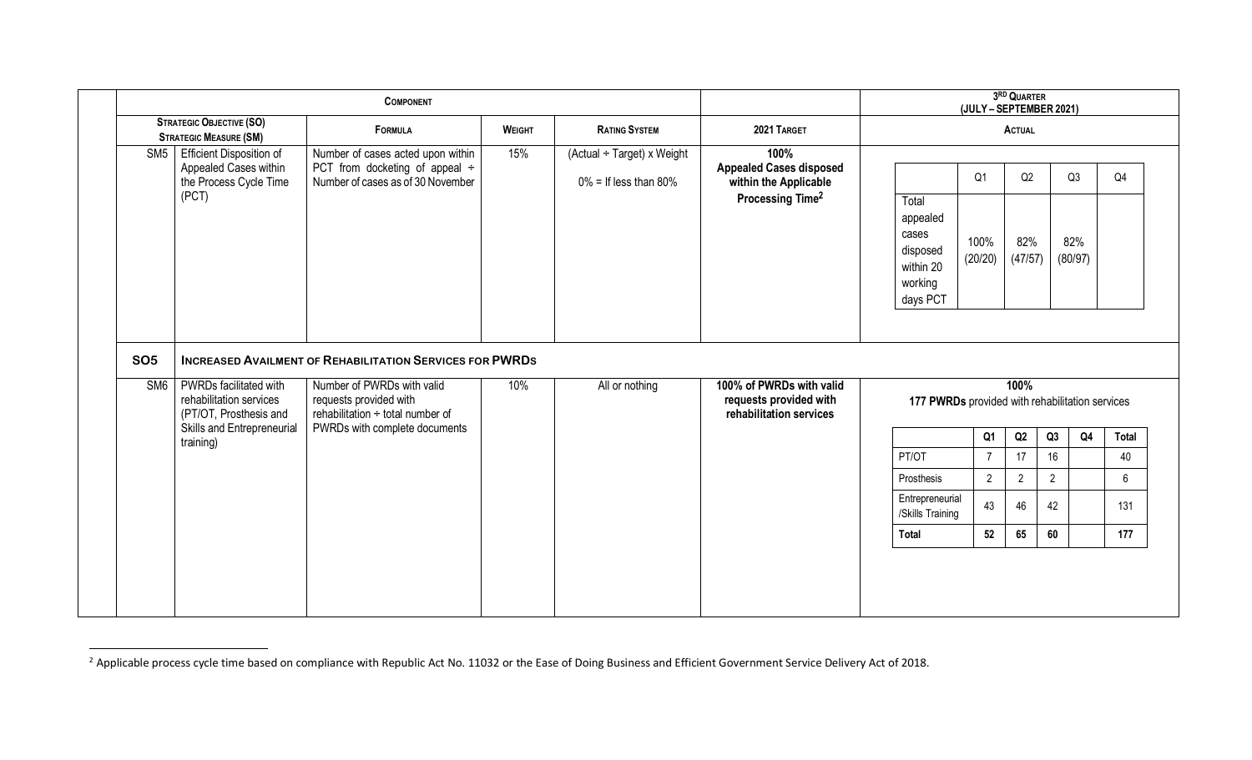| <b>COMPONENT</b>  |                                                                                             |                                                                                                                                                             |               |                                                        |                                                                                                 | 3RD QUARTER<br>(JULY - SEPTEMBER 2021)                                     |                       |                      |                |                      |                |
|-------------------|---------------------------------------------------------------------------------------------|-------------------------------------------------------------------------------------------------------------------------------------------------------------|---------------|--------------------------------------------------------|-------------------------------------------------------------------------------------------------|----------------------------------------------------------------------------|-----------------------|----------------------|----------------|----------------------|----------------|
|                   | <b>STRATEGIC OBJECTIVE (SO)</b><br><b>STRATEGIC MEASURE (SM)</b>                            | <b>FORMULA</b>                                                                                                                                              | <b>WEIGHT</b> | <b>RATING SYSTEM</b>                                   | 2021 TARGET                                                                                     |                                                                            |                       | <b>ACTUAL</b>        |                |                      |                |
| SM <sub>5</sub>   | <b>Efficient Disposition of</b><br>Appealed Cases within<br>the Process Cycle Time<br>(PCT) | Number of cases acted upon within<br>PCT from docketing of appeal ÷<br>Number of cases as of 30 November                                                    | 15%           | (Actual ÷ Target) x Weight<br>$0\%$ = If less than 80% | 100%<br><b>Appealed Cases disposed</b><br>within the Applicable<br>Processing Time <sup>2</sup> | Total<br>appealed<br>cases<br>disposed<br>within 20<br>working<br>days PCT | Q1<br>100%<br>(20/20) | Q2<br>82%<br>(47/57) |                | Q3<br>82%<br>(80/97) | Q <sub>4</sub> |
|                   |                                                                                             |                                                                                                                                                             |               |                                                        |                                                                                                 |                                                                            |                       |                      |                |                      |                |
| <b>SO5</b><br>SM6 | PWRDs facilitated with<br>rehabilitation services<br>(PT/OT, Prosthesis and                 | <b>INCREASED AVAILMENT OF REHABILITATION SERVICES FOR PWRDS</b><br>Number of PWRDs with valid<br>requests provided with<br>rehabilitation ÷ total number of | 10%           | All or nothing                                         | 100% of PWRDs with valid<br>requests provided with<br>rehabilitation services                   | 177 PWRDs provided with rehabilitation services                            |                       | 100%                 |                |                      |                |
|                   | Skills and Entrepreneurial                                                                  | PWRDs with complete documents                                                                                                                               |               |                                                        |                                                                                                 |                                                                            | Q1                    | Q2                   | Q3             | Q <sub>4</sub>       | Total          |
|                   | training)                                                                                   |                                                                                                                                                             |               |                                                        |                                                                                                 | PT/OT                                                                      | $\overline{7}$        | 17 <sup>17</sup>     | 16             |                      | 40             |
|                   |                                                                                             |                                                                                                                                                             |               |                                                        |                                                                                                 | Prosthesis                                                                 | $\overline{2}$        | $2^{\circ}$          | $\overline{2}$ |                      | 6              |
|                   |                                                                                             |                                                                                                                                                             |               |                                                        |                                                                                                 | Entrepreneurial<br>/Skills Training                                        | 43                    | 46                   | 42             |                      | 131            |

 $^{2}$  Applicable process cycle time based on compliance with Republic Act No. 11032 or the Ease of Doing Business and Efficient Government Service Delivery Act of 2018.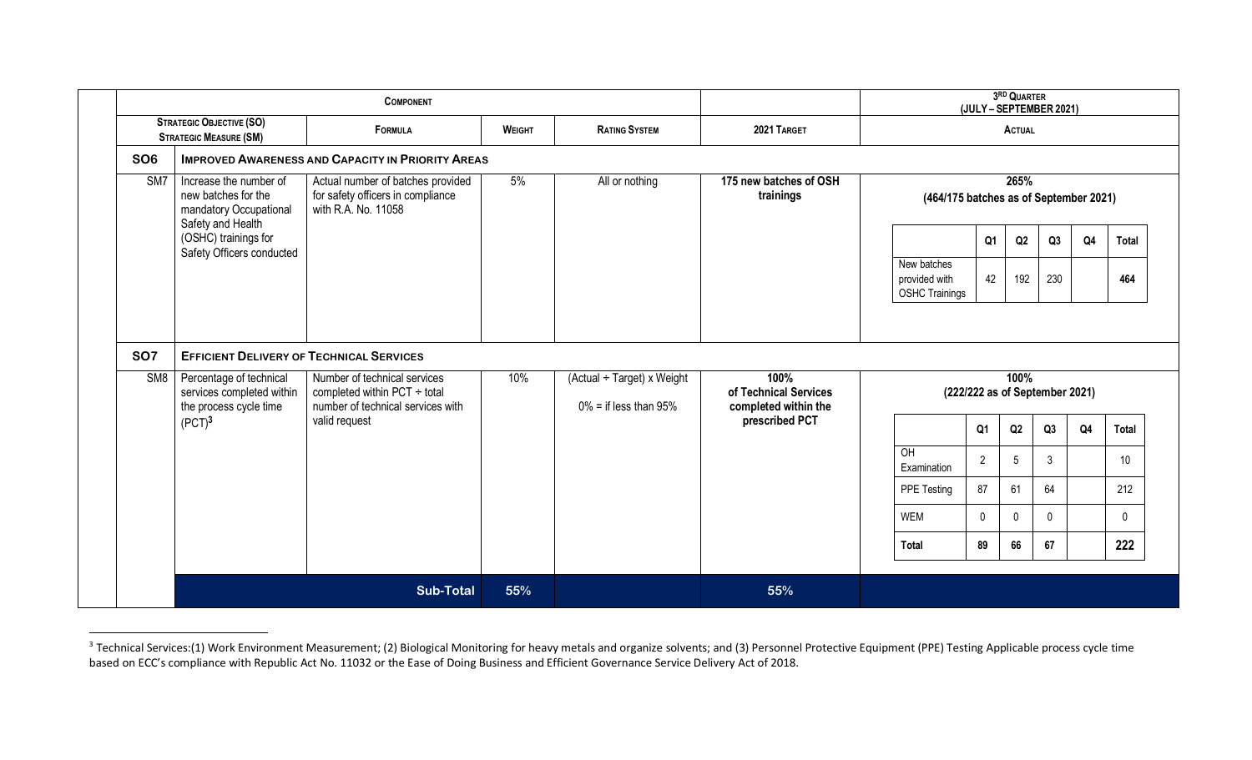| <b>STRATEGIC OBJECTIVE (SO)</b><br><b>STRATEGIC MEASURE (SM)</b> |                                                                                              | <b>COMPONENT</b>                                                                              |               |                            |                                        | 3RD QUARTER<br>(JULY - SEPTEMBER 2021)                |                                |              |              |                |                     |
|------------------------------------------------------------------|----------------------------------------------------------------------------------------------|-----------------------------------------------------------------------------------------------|---------------|----------------------------|----------------------------------------|-------------------------------------------------------|--------------------------------|--------------|--------------|----------------|---------------------|
|                                                                  |                                                                                              | <b>FORMULA</b>                                                                                | <b>WEIGHT</b> | <b>RATING SYSTEM</b>       | 2021 TARGET                            | <b>ACTUAL</b>                                         |                                |              |              |                |                     |
| <b>SO6</b>                                                       |                                                                                              | <b>IMPROVED AWARENESS AND CAPACITY IN PRIORITY AREAS</b>                                      |               |                            |                                        |                                                       |                                |              |              |                |                     |
| SM7                                                              | Increase the number of<br>new batches for the<br>mandatory Occupational<br>Safety and Health | Actual number of batches provided<br>for safety officers in compliance<br>with R.A. No. 11058 | 5%            | All or nothing             | 175 new batches of OSH<br>trainings    | (464/175 batches as of September 2021)                |                                | 265%         |              |                |                     |
|                                                                  | (OSHC) trainings for<br>Safety Officers conducted                                            |                                                                                               |               |                            |                                        |                                                       | Q <sub>1</sub>                 | Q2           | Q3           | Q <sub>4</sub> | <b>Total</b>        |
|                                                                  |                                                                                              |                                                                                               |               |                            |                                        | New batches<br>provided with<br><b>OSHC Trainings</b> | 42                             | 192          | 230          |                | 464                 |
|                                                                  | <b>EFFICIENT DELIVERY OF TECHNICAL SERVICES</b>                                              |                                                                                               |               |                            |                                        |                                                       |                                |              |              |                |                     |
| S <sub>M8</sub>                                                  | Percentage of technical<br>services completed within                                         | Number of technical services<br>completed within $PCT \div total$                             | 10%           | (Actual ÷ Target) x Weight | 100%<br>of Technical Services          |                                                       | (222/222 as of September 2021) | 100%         |              |                |                     |
|                                                                  | the process cycle time<br>(PCT) <sup>3</sup>                                                 | number of technical services with<br>valid request                                            |               | $0\%$ = if less than 95%   | completed within the<br>prescribed PCT |                                                       | Q <sub>1</sub>                 | Q2           | Q3           | Q <sub>4</sub> |                     |
|                                                                  |                                                                                              |                                                                                               |               |                            |                                        | OH<br>Examination                                     | $\overline{2}$                 | 5            | $\mathbf{3}$ |                | 10 <sup>°</sup>     |
|                                                                  |                                                                                              |                                                                                               |               |                            |                                        | PPE Testing                                           | 87                             | 61           | 64           |                |                     |
|                                                                  |                                                                                              |                                                                                               |               |                            |                                        | <b>WEM</b>                                            | $\mathbf{0}$                   | $\mathbf{0}$ | $\Omega$     |                | 212<br>$\mathbf{0}$ |
| <b>SO7</b>                                                       |                                                                                              |                                                                                               |               |                            |                                        | Total                                                 | 89                             | 66           | 67           |                | <b>Total</b><br>222 |

<sup>3</sup> Technical Services:(1) Work Environment Measurement; (2) Biological Monitoring for heavy metals and organize solvents; and (3) Personnel Protective Equipment (PPE) Testing Applicable process cycle time<br>3 Technical Servic based on ECC's compliance with Republic Act No. 11032 or the Ease of Doing Business and Efficient Governance Service Delivery Act of 2018.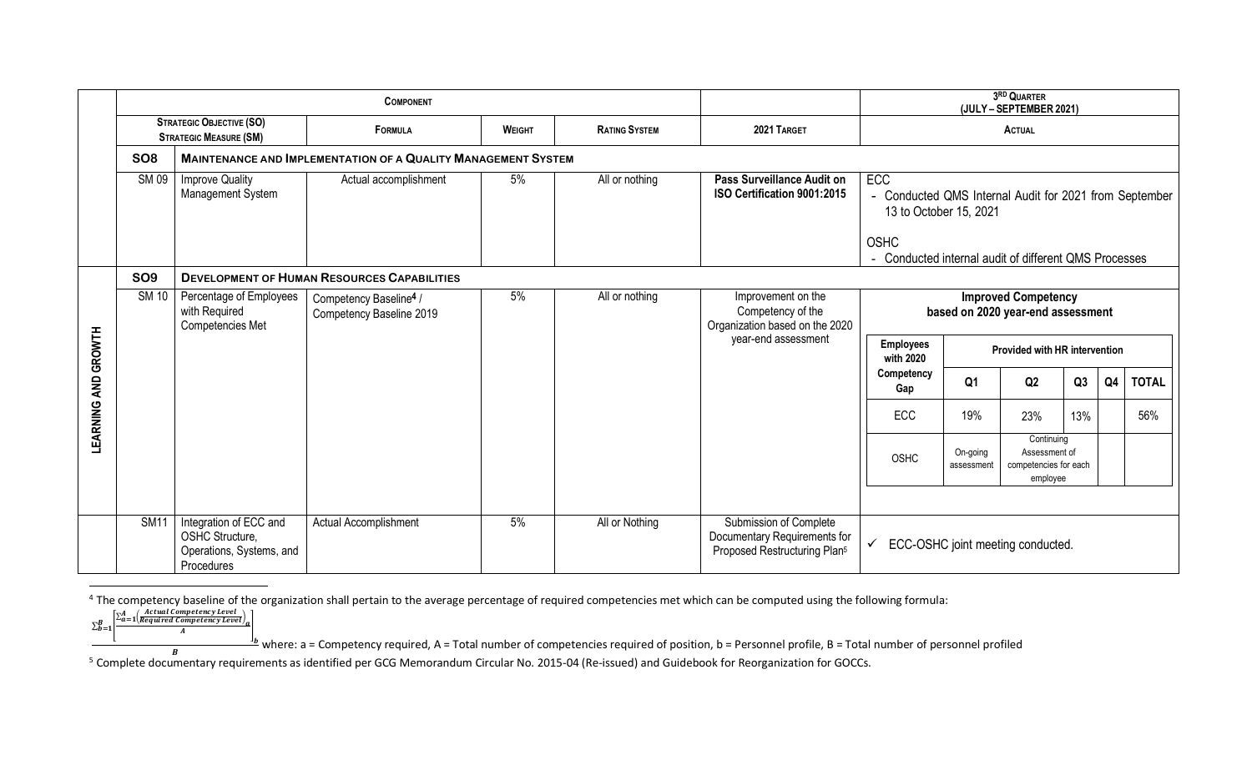|                     |                 |                                                                                     | <b>COMPONENT</b>                                                     | 3RD QUARTER<br>(JULY - SEPTEMBER 2021) |                      |                                                                                                    |                                                                                                               |                                      |                                                                  |     |    |              |
|---------------------|-----------------|-------------------------------------------------------------------------------------|----------------------------------------------------------------------|----------------------------------------|----------------------|----------------------------------------------------------------------------------------------------|---------------------------------------------------------------------------------------------------------------|--------------------------------------|------------------------------------------------------------------|-----|----|--------------|
|                     |                 | <b>STRATEGIC OBJECTIVE (SO)</b><br><b>STRATEGIC MEASURE (SM)</b>                    | <b>FORMULA</b>                                                       | <b>WEIGHT</b>                          | <b>RATING SYSTEM</b> | 2021 TARGET                                                                                        |                                                                                                               |                                      | <b>ACTUAL</b>                                                    |     |    |              |
|                     | SO <sub>8</sub> |                                                                                     | <b>MAINTENANCE AND IMPLEMENTATION OF A QUALITY MANAGEMENT SYSTEM</b> |                                        |                      |                                                                                                    |                                                                                                               |                                      |                                                                  |     |    |              |
|                     | <b>SM09</b>     | <b>Improve Quality</b><br>Management System                                         | Actual accomplishment                                                | 5%                                     | All or nothing       | Pass Surveillance Audit on<br>ISO Certification 9001:2015                                          | <b>ECC</b><br>- Conducted QMS Internal Audit for 2021 from September<br>13 to October 15, 2021<br><b>OSHC</b> |                                      |                                                                  |     |    |              |
|                     | <b>SO9</b>      |                                                                                     | <b>DEVELOPMENT OF HUMAN RESOURCES CAPABILITIES</b>                   |                                        |                      |                                                                                                    | - Conducted internal audit of different QMS Processes                                                         |                                      |                                                                  |     |    |              |
|                     | <b>SM 10</b>    | Percentage of Employees<br>with Required<br>Competencies Met                        | Competency Baseline <sup>4</sup> /<br>Competency Baseline 2019       | 5%                                     | All or nothing       | Improvement on the<br>Competency of the<br>Organization based on the 2020                          |                                                                                                               |                                      | <b>Improved Competency</b><br>based on 2020 year-end assessment  |     |    |              |
|                     |                 |                                                                                     |                                                                      |                                        |                      | year-end assessment                                                                                | <b>Employees</b><br>with 2020                                                                                 | <b>Provided with HR intervention</b> |                                                                  |     |    |              |
| LEARNING AND GROWTH |                 |                                                                                     |                                                                      |                                        |                      |                                                                                                    | Competency<br>Gap                                                                                             | Q <sub>1</sub>                       | Q2                                                               | Q3  | Q4 | <b>TOTAL</b> |
|                     |                 |                                                                                     |                                                                      |                                        |                      |                                                                                                    | ECC                                                                                                           | 19%                                  | 23%                                                              | 13% |    | 56%          |
|                     |                 |                                                                                     |                                                                      |                                        |                      |                                                                                                    | <b>OSHC</b>                                                                                                   | On-going<br>assessment               | Continuing<br>Assessment of<br>competencies for each<br>employee |     |    |              |
|                     |                 |                                                                                     |                                                                      |                                        |                      |                                                                                                    |                                                                                                               |                                      |                                                                  |     |    |              |
|                     | <b>SM11</b>     | Integration of ECC and<br>OSHC Structure,<br>Operations, Systems, and<br>Procedures | Actual Accomplishment                                                | 5%                                     | All or Nothing       | Submission of Complete<br>Documentary Requirements for<br>Proposed Restructuring Plan <sup>5</sup> |                                                                                                               | ECC-OSHC joint meeting conducted.    |                                                                  |     |    |              |

4 The competency baseline of the organization shall pertain to the average percentage of required competencies met which can be computed using the following formula:

 $\sum_{b=1}^B$  $\ _{B=\mathbf{b}=\mathbf{b}}^{E} \left[\frac{\sum_{a=1}^{A} \left(\frac{Actual \: Competency \: Level}{Required \: Competency \: Level}\right)_{a}}{A}\right]$ 

where: a = Competency required, A = Total number of competencies required of position, b = Personnel profile, B = Total number of personnel profiled  $B$ 

Frame of Complete documentary requirements as identified per GCG Memorandum Circular No. 2015-04 (Re-issued) and Guidebook for Reorganization for GOCCs.